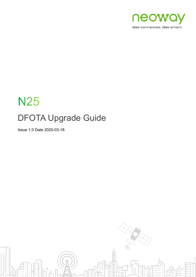

# **N25** DFOTA Upgrade Guide

Issue 1.0 Date 2020-03-18

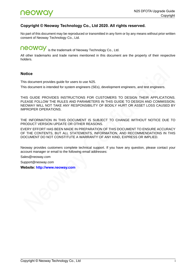#### **Copyright © Neoway Technology Co., Ltd 2020. All rights reserved.**

No part of this document may be reproduced or transmitted in any form or by any means without prior written consent of Neoway Technology Co., Ltd.

# neoway is the trademark of Neoway Technology Co., Ltd.

All other trademarks and trade names mentioned in this document are the property of their respective holders.

#### **Notice**

This document provides guide for users to use N25.

This document is intended for system engineers (SEs), development engineers, and test engineers.

THIS GUIDE PROVIDES INSTRUCTIONS FOR CUSTOMERS TO DESIGN THEIR APPLICATIONS. PLEASE FOLLOW THE RULES AND PARAMETERS IN THIS GUIDE TO DESIGN AND COMMISSION. NEOWAY WILL NOT TAKE ANY RESPONSIBILITY OF BODILY HURT OR ASSET LOSS CAUSED BY IMPROPER OPERATIONS.

THE INFORMATION IN THIS DOCUMENT IS SUBJECT TO CHANGE WITHOUT NOTICE DUE TO PRODUCT VERSION UPDATE OR OTHER REASONS.

EVERY EFFORT HAS BEEN MADE IN PREPARATION OF THIS DOCUMENT TO ENSURE ACCURACY OF THE CONTENTS, BUT ALL STATEMENTS, INFORMATION, AND RECOMMENDATIONS IN THIS DOCUMENT DO NOT CONSTITUTE A WARRANTY OF ANY KIND, EXPRESS OR IMPLIED.

Neoway provides customers complete technical support. If you have any question, please contact your account manager or email to the following email addresses:

Sales@neoway.com

Support@neoway.com

**Website: [http://www.neoway.com](http://www.neoway.com/)**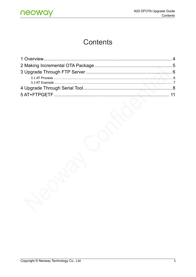# **Contents**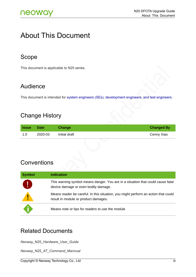### About This Document

### Scope

This document is applicable to N25 series.

### Audience

This document is intended for system engineers (SEs), development engineers, and test engineers.

### Change History

| <b>Same</b> | <b>Date</b> | Change        | <b>Changed By</b> |
|-------------|-------------|---------------|-------------------|
| 1.0         | 2020-03     | Initial draft | Cenny Xiao        |

### **Conventions**

| <b>Symbol</b> | <b>Indication</b>                                                                                                          |
|---------------|----------------------------------------------------------------------------------------------------------------------------|
| ₫,            | This warning symbol means danger. You are in a situation that could cause fatal<br>device damage or even bodily damage.    |
| Ţ             | Means reader be careful. In this situation, you might perform an action that could<br>result in module or product damages. |
|               | Means note or tips for readers to use the module                                                                           |

### Related Documents

*Neoway\_*N25*\_Hardware\_User\_Guide*

*Neoway\_*N25*\_AT\_Command\_Mannual*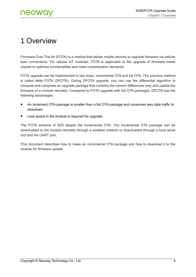## <span id="page-4-0"></span>1 Overview

Firmware Over The Air (FOTA) is a method that allows mobile devices to upgrade firmware via cellular data connections. For cellular IoT modules, FOTA is applicable to the upgrade of firmware inside chipset to optimize functionalities and meet customization demands.

FOTA upgrade can be implemented in two ways: incremental OTA and full OTA. The previous method is called delta FOTA (DFOTA). During DFOTA upgrade, you can use the differential algorithm to compute and compress an upgrade package that contains the version differences only and update the firmware of a module remotely. Compared to FOTA upgrade with full OTA packages, DFOTA has the following advantages:

- ⚫ An increment OTA package is smaller than a full OTA package and consumes less data traffic to download.
- Less space in the module is required for upgrade.

The FOTA scheme of N25 adopts the incremental OTA. The incremental OTA package can be downloaded to the module remotely through a wireless network or downloaded through a local serial tool and the UART port.

This document describes how to make an incremental OTA package and how to download it to the module for firmware update.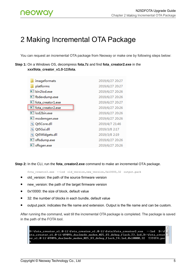# <span id="page-5-0"></span>2 Making Incremental OTA Package

You can request an incremental OTA package from Neoway or make one by following steps below:

|                                | Step 1: On a Windows OS, decompress fota.7z and find fota creator2.exe in the |  |
|--------------------------------|-------------------------------------------------------------------------------|--|
| xxx\fota creator v1.0-11\fota. |                                                                               |  |

| imageformats              | 2019/6/27 20:27 |
|---------------------------|-----------------|
| platforms                 | 2019/6/27 20:27 |
| bin2lod.exe               | 2019/6/27 20:26 |
| fbdevdump.exe             | 2019/6/27 20:26 |
| fota_creator1.exe         | 2019/6/27 20:27 |
| fota_creator2.exe         | 2019/6/27 20:26 |
| <sup>■■</sup> lod2bin.exe | 2019/6/27 20:26 |
| modemgen.exe              | 2019/6/27 20:26 |
| Qt5Core.dll               | 2019/4/7 21:46  |
| S Qt5Gui.dll              | 2019/3/8 2:17   |
| S Qt5Widgets.dll          | 2019/3/8 2:19   |
| sffsdump.exe              | 2019/6/27 20:26 |
| sffsgen.exe               | 2019/6/27 20:26 |

**Step 2:** In the CLI, run the **fota creator2.exe** command to make an incremental OTA package.

fota\_creator2.exe --lod old\_version,new\_version,0x10000,32 output.pack

- ⚫ old\_version: the path of the source firmware version
- new\_version: the path of the target firmware version
- ⚫ 0x10000: the size of block, default value
- 32: the number of blocks in each bundle, default value
- ⚫ output.pack: indicates the file name and extension. Output is the file name and can be custom.

After running the command, wait till the incremental OTA package is completed. The package is saved in the path of the FOTA tool.

D:\fota\_creator\_v1.0-11\fota\_creator\_v1.0-11\fota>fota\_creator2.exe  $-$ - $1$ od  $D: M$ ota\_creator\_v1.0-11\8909b\_dualmode\_modem\_N25\_V3\_debug\_flash\_T3.lod,D:\fota\_creat or\_v1.0-11\8909b\_dualmode\_modem\_N25\_U3\_debug\_flash\_T4.lod,0x10000,32 T3TOT4.pac

Ξ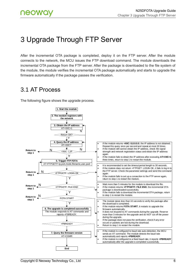# <span id="page-6-0"></span>3 Upgrade Through FTP Server

After the incremental OTA package is completed, deploy it on the FTP server. After the module connects to the network, the MCU issues the FTP download command. The module downloads the incremental OTA package from the FTP server. After the package is downloaded to the file system of the module, the module verifies the incremental OTA package automatically and starts to upgrade the firmware automatically if the package passes the verification.

### <span id="page-6-1"></span>3.1 AT Process

The following figure shows the upgrade process.

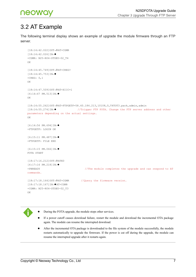

### <span id="page-7-0"></span>3.2 AT Example

The following terminal display shows an example of upgrade the module firmware through an FTP server.

```
[18:14:42.022]OUT→◇AT+CGMR 
[18:14:42.026]IN←◆
+CGMR: N25-R04-STDEU-02_T4
OK
[18:14:45.749]OUT→◇AT+CREG? 
[18:14:45.753]IN←◆
+CREG: 0,1
OK
[18:14:47.509]OUT→◇AT+XIIC=1 
[6:14:47 PM.513]IN←◆
OK
[18:14:55.262]OUT→◇AT+FTPGETF=58.60.184.213,10108,0,T4TOT3.pack,admin,admin
[18:14:55.274]IN←◆ //Trigger FTP FOTA. Change the FTP server address and other 
parameters depending on the actual settings.
OK
[6:14:56 PM.694]IN←◆
+FTPGETF: LOGIN OK
[6:15:11 PM.487]IN←◆
+FTPGETF: FILE END
[6:15:15 PM.066]IN←◆
FOTA START
[18:17:16.212]OUT→◇ATE0
[6:17:16 PM.218]IN←◆
+PBREADY //The module completes the upgrade and can respond to AT 
commands.
[18:17:18.164]OUT→◇AT+CGMR //Query the firmware version.
[18:17:18.167]IN←◆AT+CGMR
+CGMR: N25-R04-STDEU-02_T3
OK
```


- ⚫ During the FOTA upgrade, the module stops other services.
- ⚫ If a power cutoff causes download failure, restart the module and download the incremental OTA package again. The module can resume the interrupted download.
- ⚫ After the incremental OTA package is downloaded to the file system of the module successfully, the module restarts automatically to upgrade the firmware. If the power is cut off during the upgrade, the module can resume the interrupted upgrade after it restarts again.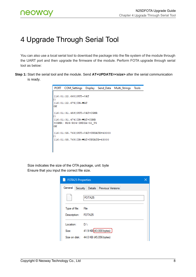# <span id="page-8-0"></span>4 Upgrade Through Serial Tool

You can also use a local serial tool to download the package into the file system of the module through the UART port and then upgrade the firmware of the module. Perform FOTA upgrade through serial tool as below:

**Step 1:** Start the serial tool and the module. Send **AT+UPDATE=<size>** after the serial communication is ready.

```
PORT
      COM_Settings
                    Display
                            Send_Data
                                      Multi_Strings
                                                   Tools
[16:01:22.660]OUT-OAT
\Box[16:01:22.675] IN-\bigcircAT
OK
o
[16:01:31.474] IN-\blacklozengeAT+CGMR
+CGMR: N25-R04-INDIA-02 T5
OK
[16:01:55.763] OUT-> OAT+UPDATE=43000
п
[16:01:55.769] IN-+AT+UPDATE=43000
```
Size indicates the size of the OTA package, unit: byte Ensure that you input the correct file size.

| <b>FOTA25 Properties</b> |                                        |  |
|--------------------------|----------------------------------------|--|
| General                  | Security   Details   Previous Versions |  |
|                          | FOTA25                                 |  |
| Type of file:            | File                                   |  |
| Description:             | FOTA <sub>25</sub>                     |  |
| Location:                | D:N                                    |  |
| Size:                    | 41.9 KB (43,000 bytes)                 |  |
|                          | Size on disk: 44.0 KB (45,056 bytes)   |  |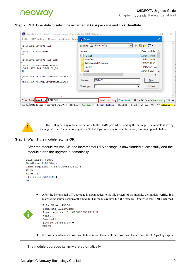#### **Step 2:** Click **OpenFile** to select the incremental OTA package and click **SendFile**.

| SSCOM V5.13.1 Serial/Net data debugger, Author: Tintin, 2618058@qq.com                                                                                                                                                                                                                        |                                                                                                                                                                |                                                                                                                                  | $\times$    |
|-----------------------------------------------------------------------------------------------------------------------------------------------------------------------------------------------------------------------------------------------------------------------------------------------|----------------------------------------------------------------------------------------------------------------------------------------------------------------|----------------------------------------------------------------------------------------------------------------------------------|-------------|
| PORT COM_Settings Display Send_Data Multi (R. Open                                                                                                                                                                                                                                            |                                                                                                                                                                |                                                                                                                                  | $\times$    |
| $[16:01:22.660]$ OUT $\rightarrow$ OAT<br>$[16:01:22.675]$ IN- $\bigcirc$ AT<br>lok<br> [16:01:31.459]OUT→◇AT+CGMR<br>[16:01:31.474] IN-+AT+CGMR<br>+CGMR: N25-R04-INDIA-02 T5<br>IOК<br>[16:01:55.763] OUT- $\lozenge$ AT+UPDATE=43000<br>[16:01:55.769] IN- $\blacklozenge$ AT+UPDATE=43000 | Look in: $\Box$ LENOVO (D:)<br>▾╎<br>Name<br>FOTA25<br>AutoDesk<br>BaiduNetdiskDownload<br>CATTI2<br>Julie<br>FOTA25<br>File name:<br>M<br>Files of type:<br>▼ | 白普丽<br>Date modified ^<br>20/3/17 14:18<br>19/11/1 14:19<br>20/3/15 22:45<br>19/11/16 11:44<br>20/3/16 0:01<br>$Q$ pen<br>Cancel | <b>Mark</b> |
| ClearData OpenFile D:\FOTA25                                                                                                                                                                                                                                                                  | SendFile Stop ClearSend OnTop V English SaveConfig EXT -                                                                                                       |                                                                                                                                  |             |
|                                                                                                                                                                                                                                                                                               | ComNum COM3 Prolific USB-to-Seria $\bullet$    HEXShow Savellata    ReceivedToFile    SendHEX    SendEvery: 1000    ms/Tim $\sqrt{\bullet}$ AddCrLf            |                                                                                                                                  |             |

Do NOT input any other information into the UART port when sending the package. The module is saving the upgrade file. The process might be affected if you send any other information, resulting upgrade failure.

#### **Step 3:** Wait till the module returns **OK**.

After the module returns OK, the incremental OTA package is downloaded successfully and the module starts the upgrade automatically.

```
File Size: 43000
BaudRate 115200bps
Time require: 3.16700005531311 S
Wait...
Send ok!
[16:07:10.924] IN-\blacklozengeOK
```
⚫ After the incremental OTA package is downloaded to the file system of the module, the module verifies if it matches the source version of the module. The module returns **OK** if it matches. Otherwise, **ERROR** is returned.

```
File Size: 43000
BaudRate 115200bps
Time require: 3.16700005531311 S
Wait...
Send ok!
[16:20:05:915] IN-\blacklozengeERROR
```
⚫ If a power cutoff causes download failure, restart the module and download the incremental OTA package again.

The module upgrades its firmware automatically.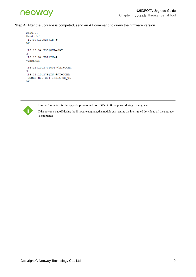

**Step 4:** After the upgrade is competed, send an AT command to query the firmware version.

```
Wait...
Send ok!
[16:07:10.924] IN-\blacklozengeOK
[16:10:54.739]OUT→◇AT
\Box[16:10:54.751] IN-\blacklozenge+PBREADY
[16:11:10.274] OUT-OAT+CGMR
\Box[16:11:10.279] IN-+AT+CGMR
+CGMR: N25-R04-INDIA-02_T6
OK
```


Reserve 3 minutes for the upgrade process and do NOT cut off the power during the upgrade.

If the power is cut off during the firmware upgrade, the module can resume the interrupted download till the upgrade is completed.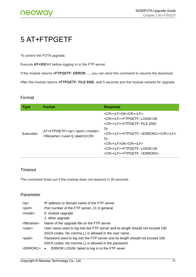# <span id="page-11-0"></span>5 AT+FTPGETF

To control the FOTA upgrade.

Execute **AT+XIIC=1** before logging in to the FTP server.

If the module returns **+FTPGETF: ERROR …**, you can send this command to resume the download.

After the module returns **+FTPGETF: FILE END**, wait 5 seconds and the module restarts for upgrade.

#### Format

| <b>Type</b> | <b>Format</b>                                                                                                     | <b>Response</b>                                                                                                                                                                                                                                                                                                                                  |
|-------------|-------------------------------------------------------------------------------------------------------------------|--------------------------------------------------------------------------------------------------------------------------------------------------------------------------------------------------------------------------------------------------------------------------------------------------------------------------------------------------|
| Execution   | AT+FTPGETF= <ip>,<port>,<mode>,<br/><filename>,<user>[,<pwd>]<cr></cr></pwd></user></filename></mode></port></ip> | <cr><lf>OK<cr><lf><br/><cr><lf>+FTPGETF: LOGIN OK<br/><cr><lf>+FTPGETF: FILE END<br/>Or<br/><cr><lf>+FTPGETF: <error1><cr><lf><br/>Or<br/><cr><lf>OK<cr><lf><br/><cr><lf>+FTPGETF: LOGIN OK<br/><cr><lf>+FTPGETF: <error2></error2></lf></cr></lf></cr></lf></cr></lf></cr></lf></cr></error1></lf></cr></lf></cr></lf></cr></lf></cr></lf></cr> |

#### Timeout

The command times out if the module does not respond in 30 seconds.

#### Parameter

| $<$ ip $>$            | IP address or domain name of the FTP server                                    |  |
|-----------------------|--------------------------------------------------------------------------------|--|
| <port></port>         | Port number of the FTP server, 21 in general                                   |  |
| <mode></mode>         | 0: module upgrade                                                              |  |
|                       | 1: other upgrade                                                               |  |
| <filename></filename> | Name of the upgrade file on the FTP server                                     |  |
| <user></user>         | User name used to log into the FTP server and its length should not exceed 100 |  |
|                       | ASCII codes. No comma (,) is allowed in the user name.                         |  |
| <pwd></pwd>           | Password used to log into the FTP server and its length should not exceed 100  |  |
|                       | ASCII codes. No comma (,) is allowed in the password.                          |  |
| <error1></error1>     | ERROR LOGIN: failed to log in to the FTP sever<br>$\bullet$                    |  |